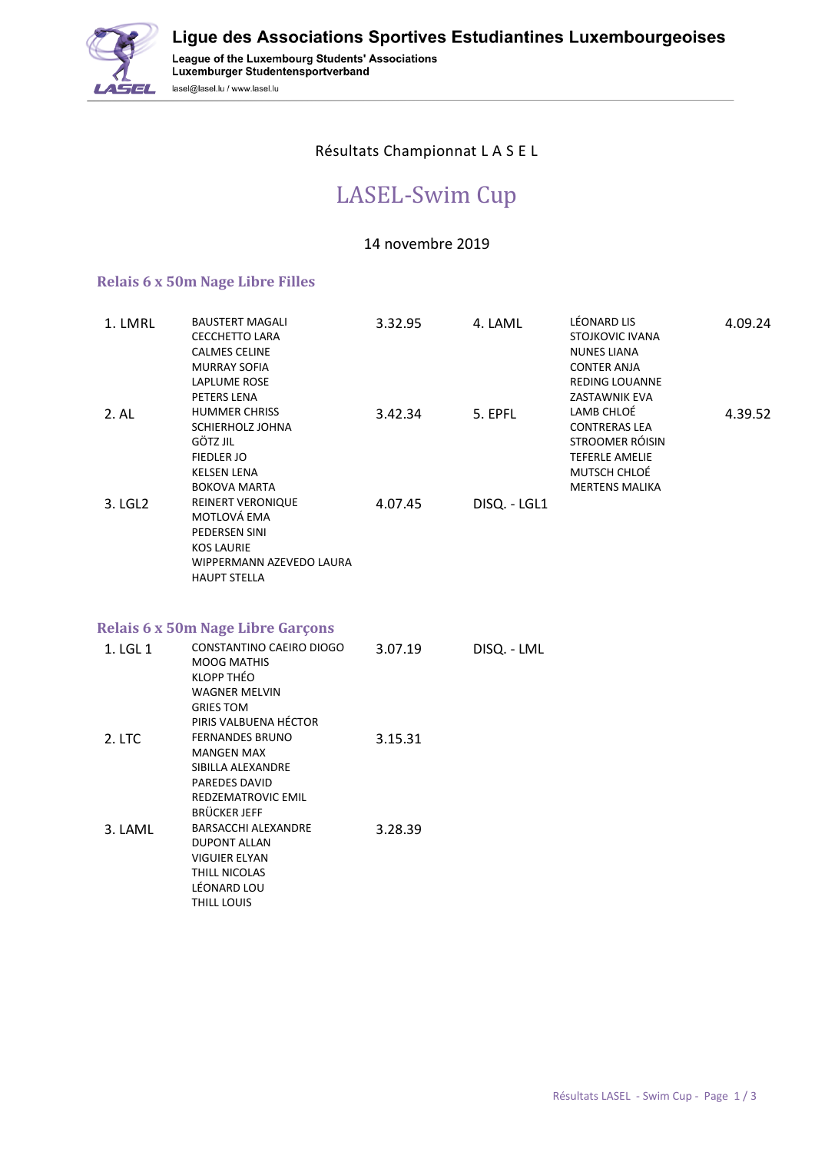

League of the Luxembourg Students' Associations<br>Luxemburger Studentensportverband lasel@lasel.lu / www.lasel.lu

## Résultats Championnat L A S E L

## LASEL-Swim Cup

## 14 novembre 2019

## **Relais 6 x 50m Nage Libre Filles**

| 1. LMRL  | <b>BAUSTERT MAGALI</b><br><b>CECCHETTO LARA</b><br><b>CALMES CELINE</b><br><b>MURRAY SOFIA</b><br><b>LAPLUME ROSE</b><br>PETERS LENA | 3.32.95 | 4. LAML      | LÉONARD LIS<br>STOJKOVIC IVANA<br><b>NUNES LIANA</b><br><b>CONTER ANJA</b><br><b>REDING LOUANNE</b><br>ZASTAWNIK EVA    | 4.09.24 |
|----------|--------------------------------------------------------------------------------------------------------------------------------------|---------|--------------|-------------------------------------------------------------------------------------------------------------------------|---------|
| 2.AL     | <b>HUMMER CHRISS</b><br>SCHIERHOLZ JOHNA<br><b>GÖTZ JIL</b><br><b>FIEDLER JO</b><br><b>KELSEN LENA</b><br><b>BOKOVA MARTA</b>        | 3.42.34 | 5. EPFL      | LAMB CHLOÉ<br><b>CONTRERAS LEA</b><br>STROOMER RÓISIN<br><b>TEFERLE AMELIE</b><br>MUTSCH CHLOÉ<br><b>MERTENS MALIKA</b> | 4.39.52 |
| 3. LGL2  | <b>REINERT VERONIQUE</b><br>MOTLOVÁ EMA<br>PEDERSEN SINI<br><b>KOS LAURIE</b><br>WIPPERMANN AZEVEDO LAURA<br><b>HAUPT STELLA</b>     | 4.07.45 | DISQ. - LGL1 |                                                                                                                         |         |
|          | <b>Relais 6 x 50m Nage Libre Garçons</b>                                                                                             |         |              |                                                                                                                         |         |
| 1. LGL 1 | CONSTANTINO CAEIRO DIOGO<br><b>MOOG MATHIS</b><br>KLOPP THÉO<br><b>WAGNER MELVIN</b><br><b>GRIES TOM</b><br>PIRIS VALBUENA HÉCTOR    | 3.07.19 | DISQ. - LML  |                                                                                                                         |         |
| 2. LTC   | <b>FERNANDES BRUNO</b><br><b>MANGEN MAX</b><br>SIBILLA ALEXANDRE<br>PAREDES DAVID<br>REDZEMATROVIC EMIL<br><b>BRÜCKER JEFF</b>       | 3.15.31 |              |                                                                                                                         |         |
| 3. LAML  | BARSACCHI ALEXANDRE<br><b>DUPONT ALLAN</b><br><b>VIGUIER ELYAN</b><br>THILL NICOLAS<br>LÉONARD LOU<br>THILL LOUIS                    | 3.28.39 |              |                                                                                                                         |         |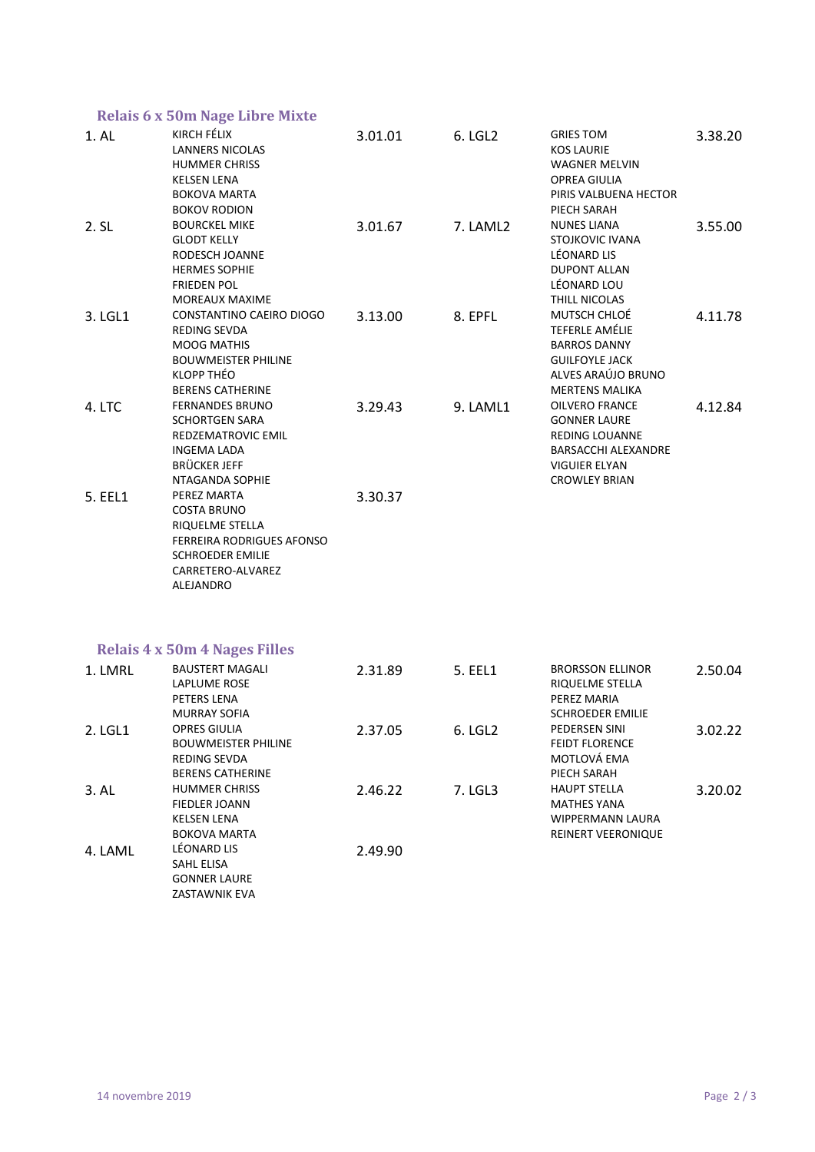|                   | <b>Relais 6 x 50m Nage Libre Mixte</b>                                                                                                       |         |          |                                                                                                                                       |         |
|-------------------|----------------------------------------------------------------------------------------------------------------------------------------------|---------|----------|---------------------------------------------------------------------------------------------------------------------------------------|---------|
| 1. AL             | KIRCH FÉLIX<br><b>LANNERS NICOLAS</b><br><b>HUMMER CHRISS</b><br>KELSEN LENA<br><b>BOKOVA MARTA</b><br><b>BOKOV RODION</b>                   | 3.01.01 | 6. LGL2  | <b>GRIES TOM</b><br><b>KOS LAURIE</b><br><b>WAGNER MELVIN</b><br><b>OPREA GIULIA</b><br>PIRIS VALBUENA HECTOR<br>PIECH SARAH          | 3.38.20 |
| 2. S <sub>L</sub> | <b>BOURCKEL MIKE</b><br><b>GLODT KELLY</b><br>RODESCH JOANNE<br><b>HERMES SOPHIE</b><br><b>FRIEDEN POL</b><br><b>MOREAUX MAXIME</b>          | 3.01.67 | 7. LAML2 | <b>NUNES LIANA</b><br><b>STOJKOVIC IVANA</b><br>LÉONARD LIS<br><b>DUPONT ALLAN</b><br>LÉONARD LOU<br>THILL NICOLAS                    | 3.55.00 |
| 3. LGL1           | CONSTANTINO CAEIRO DIOGO<br>REDING SEVDA<br><b>MOOG MATHIS</b><br><b>BOUWMEISTER PHILINE</b><br>KLOPP THÉO<br><b>BERENS CATHERINE</b>        | 3.13.00 | 8. EPFL  | MUTSCH CHLOÉ<br>TEFERLE AMÉLIE<br><b>BARROS DANNY</b><br><b>GUILFOYLE JACK</b><br>ALVES ARAÚJO BRUNO<br><b>MERTENS MALIKA</b>         | 4.11.78 |
| 4. LTC            | <b>FERNANDES BRUNO</b><br><b>SCHORTGEN SARA</b><br><b>REDZEMATROVIC EMIL</b><br><b>INGEMA LADA</b><br><b>BRÜCKER JEFF</b><br>NTAGANDA SOPHIE | 3.29.43 | 9. LAML1 | <b>OILVERO FRANCE</b><br><b>GONNER LAURE</b><br><b>REDING LOUANNE</b><br>BARSACCHI ALEXANDRE<br>VIGUIER ELYAN<br><b>CROWLEY BRIAN</b> | 4.12.84 |
| 5. EEL1           | PEREZ MARTA<br>COSTA BRUNO<br>RIQUELME STELLA<br>FERREIRA RODRIGUES AFONSO<br><b>SCHROEDER EMILIE</b><br>CARRETERO-ALVAREZ<br>ALEJANDRO      | 3.30.37 |          |                                                                                                                                       |         |
|                   | <b>Relais 4 x 50m 4 Nages Filles</b>                                                                                                         |         |          |                                                                                                                                       |         |
| 1. LMRL           | <b>BAUSTERT MAGALI</b><br><b>LAPLUME ROSE</b><br>PETERS LENA<br><b>MURRAY SOFIA</b>                                                          | 2.31.89 | 5. EEL1  | <b>BRORSSON ELLINOR</b><br>RIQUELME STELLA<br>PEREZ MARIA<br>SCHROEDER EMILIE                                                         | 2.50.04 |
| 2. LGL1           | <b>OPRES GIULIA</b><br><b>BOUWMEISTER PHILINE</b><br>REDING SEVDA<br><b>BERENS CATHERINE</b>                                                 | 2.37.05 | 6. LGL2  | PEDERSEN SINI<br><b>FEIDT FLORENCE</b><br>MOTLOVÁ EMA<br>PIECH SARAH                                                                  | 3.02.22 |
| 3. AL             | <b>HUMMER CHRISS</b><br><b>FIEDLER JOANN</b><br><b>KELSEN LENA</b><br><b>BOKOVA MARTA</b>                                                    | 2.46.22 | 7. LGL3  | <b>HAUPT STELLA</b><br><b>MATHES YANA</b><br><b>WIPPERMANN LAURA</b><br>REINERT VEERONIQUE                                            | 3.20.02 |
| 4. LAML           | LÉONARD LIS<br>SAHL ELISA<br><b>GONNER LAURE</b><br>ZASTAWNIK EVA                                                                            | 2.49.90 |          |                                                                                                                                       |         |